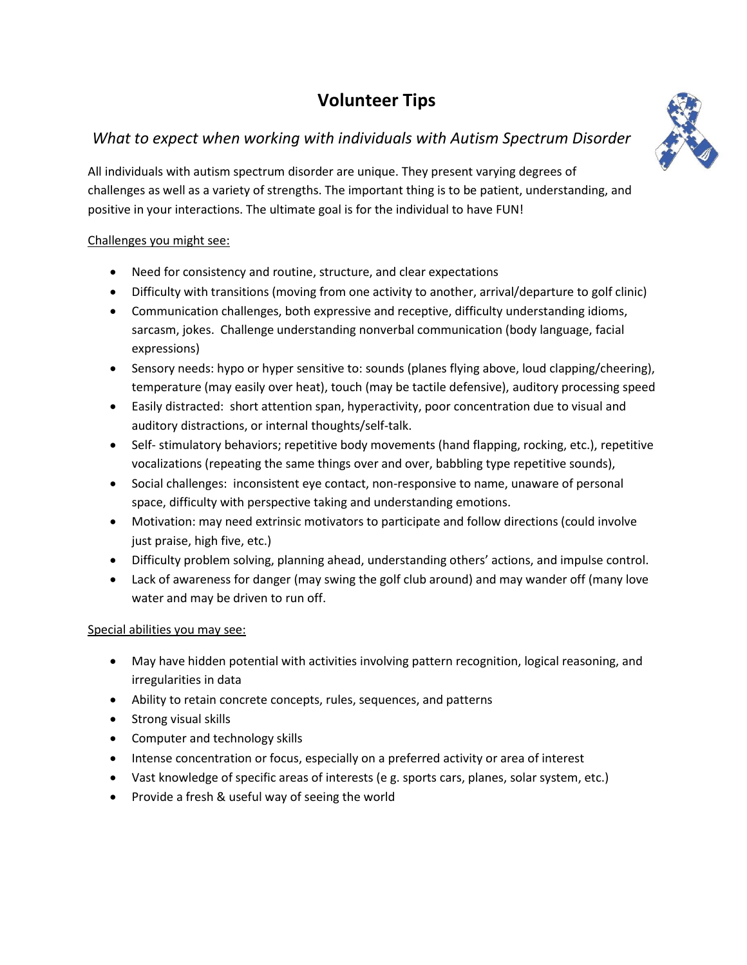# **Volunteer Tips**

# *What to expect when working with individuals with Autism Spectrum Disorder*

All individuals with autism spectrum disorder are unique. They present varying degrees of challenges as well as a variety of strengths. The important thing is to be patient, understanding, and positive in your interactions. The ultimate goal is for the individual to have FUN!

#### Challenges you might see:

- Need for consistency and routine, structure, and clear expectations
- Difficulty with transitions (moving from one activity to another, arrival/departure to golf clinic)
- Communication challenges, both expressive and receptive, difficulty understanding idioms, sarcasm, jokes. Challenge understanding nonverbal communication (body language, facial expressions)
- Sensory needs: hypo or hyper sensitive to: sounds (planes flying above, loud clapping/cheering), temperature (may easily over heat), touch (may be tactile defensive), auditory processing speed
- Easily distracted: short attention span, hyperactivity, poor concentration due to visual and auditory distractions, or internal thoughts/self-talk.
- Self- stimulatory behaviors; repetitive body movements (hand flapping, rocking, etc.), repetitive vocalizations (repeating the same things over and over, babbling type repetitive sounds),
- Social challenges: inconsistent eye contact, non-responsive to name, unaware of personal space, difficulty with perspective taking and understanding emotions.
- Motivation: may need extrinsic motivators to participate and follow directions (could involve just praise, high five, etc.)
- Difficulty problem solving, planning ahead, understanding others' actions, and impulse control.
- Lack of awareness for danger (may swing the golf club around) and may wander off (many love water and may be driven to run off.

### Special abilities you may see:

- May have hidden potential with activities involving pattern recognition, logical reasoning, and irregularities in data
- Ability to retain concrete concepts, rules, sequences, and patterns
- Strong visual skills
- Computer and technology skills
- Intense concentration or focus, especially on a preferred activity or area of interest
- Vast knowledge of specific areas of interests (e g. sports cars, planes, solar system, etc.)
- Provide a fresh & useful way of seeing the world